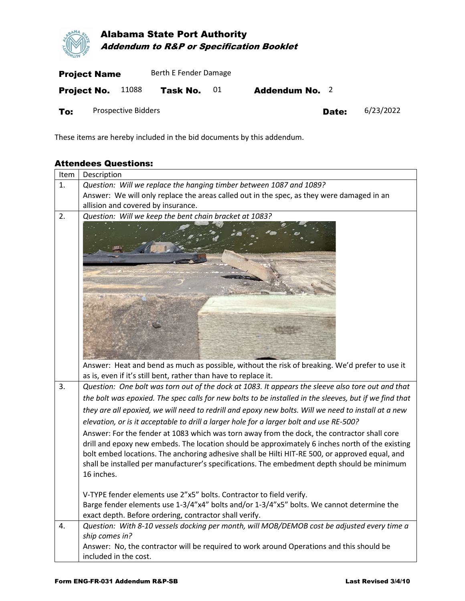

Project No.  $11088$  Task No.  $01$  Addendum No. 2 To: Prospective Bidders **Date:** 6/23/2022

These items are hereby included in the bid documents by this addendum.

## Attendees Questions:

| Item | Description                                                                                            |  |  |  |  |  |  |  |  |  |
|------|--------------------------------------------------------------------------------------------------------|--|--|--|--|--|--|--|--|--|
| 1.   | Question: Will we replace the hanging timber between 1087 and 1089?                                    |  |  |  |  |  |  |  |  |  |
|      | Answer: We will only replace the areas called out in the spec, as they were damaged in an              |  |  |  |  |  |  |  |  |  |
|      | allision and covered by insurance.                                                                     |  |  |  |  |  |  |  |  |  |
| 2.   | Question: Will we keep the bent chain bracket at 1083?                                                 |  |  |  |  |  |  |  |  |  |
|      |                                                                                                        |  |  |  |  |  |  |  |  |  |
|      |                                                                                                        |  |  |  |  |  |  |  |  |  |
|      |                                                                                                        |  |  |  |  |  |  |  |  |  |
|      |                                                                                                        |  |  |  |  |  |  |  |  |  |
|      |                                                                                                        |  |  |  |  |  |  |  |  |  |
|      |                                                                                                        |  |  |  |  |  |  |  |  |  |
|      |                                                                                                        |  |  |  |  |  |  |  |  |  |
|      |                                                                                                        |  |  |  |  |  |  |  |  |  |
|      |                                                                                                        |  |  |  |  |  |  |  |  |  |
|      |                                                                                                        |  |  |  |  |  |  |  |  |  |
|      | Answer: Heat and bend as much as possible, without the risk of breaking. We'd prefer to use it         |  |  |  |  |  |  |  |  |  |
|      | as is, even if it's still bent, rather than have to replace it.                                        |  |  |  |  |  |  |  |  |  |
| 3.   | Question: One bolt was torn out of the dock at 1083. It appears the sleeve also tore out and that      |  |  |  |  |  |  |  |  |  |
|      | the bolt was epoxied. The spec calls for new bolts to be installed in the sleeves, but if we find that |  |  |  |  |  |  |  |  |  |
|      | they are all epoxied, we will need to redrill and epoxy new bolts. Will we need to install at a new    |  |  |  |  |  |  |  |  |  |
|      | elevation, or is it acceptable to drill a larger hole for a larger bolt and use RE-500?                |  |  |  |  |  |  |  |  |  |
|      | Answer: For the fender at 1083 which was torn away from the dock, the contractor shall core            |  |  |  |  |  |  |  |  |  |
|      | drill and epoxy new embeds. The location should be approximately 6 inches north of the existing        |  |  |  |  |  |  |  |  |  |
|      | bolt embed locations. The anchoring adhesive shall be Hilti HIT-RE 500, or approved equal, and         |  |  |  |  |  |  |  |  |  |
|      | shall be installed per manufacturer's specifications. The embedment depth should be minimum            |  |  |  |  |  |  |  |  |  |
|      | 16 inches.                                                                                             |  |  |  |  |  |  |  |  |  |
|      | V-TYPE fender elements use 2"x5" bolts. Contractor to field verify.                                    |  |  |  |  |  |  |  |  |  |
|      | Barge fender elements use 1-3/4"x4" bolts and/or 1-3/4"x5" bolts. We cannot determine the              |  |  |  |  |  |  |  |  |  |
|      | exact depth. Before ordering, contractor shall verify.                                                 |  |  |  |  |  |  |  |  |  |
| 4.   | Question: With 8-10 vessels docking per month, will MOB/DEMOB cost be adjusted every time a            |  |  |  |  |  |  |  |  |  |
|      | ship comes in?                                                                                         |  |  |  |  |  |  |  |  |  |
|      | Answer: No, the contractor will be required to work around Operations and this should be               |  |  |  |  |  |  |  |  |  |
|      | included in the cost.                                                                                  |  |  |  |  |  |  |  |  |  |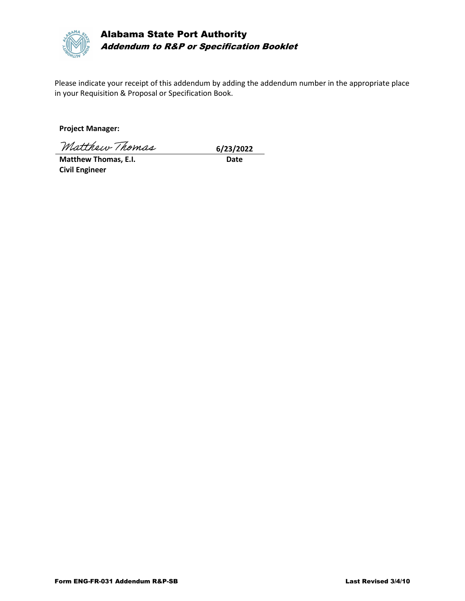

Alabama State Port Authority Addendum to R&P or Specification Booklet

Please indicate your receipt of this addendum by adding the addendum number in the appropriate place in your Requisition & Proposal or Specification Book.

**Project Manager:**

Matthew Thomas 6/23/2022

**Matthew Thomas, E.I.** Date **Civil Engineer**